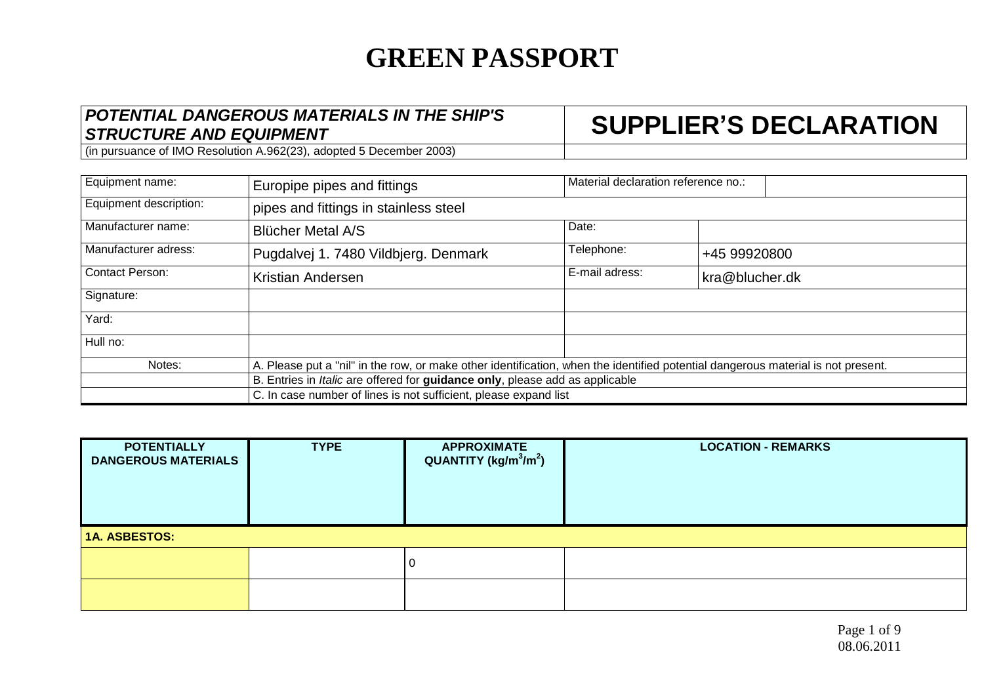### *POTENTIAL DANGEROUS MATERIALS IN THE SHIP'S STRUCTURE AND EQUIPMENT* **SUPPLIER'S DECLARATION**

| Equipment name:        | Europipe pipes and fittings                                                                                                      | Material declaration reference no.: |                |  |  |  |
|------------------------|----------------------------------------------------------------------------------------------------------------------------------|-------------------------------------|----------------|--|--|--|
| Equipment description: | pipes and fittings in stainless steel                                                                                            |                                     |                |  |  |  |
| Manufacturer name:     | <b>Blücher Metal A/S</b>                                                                                                         | Date:                               |                |  |  |  |
| Manufacturer adress:   | Pugdalvej 1. 7480 Vildbjerg. Denmark                                                                                             | Telephone:                          | +45 99920800   |  |  |  |
| <b>Contact Person:</b> | Kristian Andersen                                                                                                                | E-mail adress:                      | kra@blucher.dk |  |  |  |
| Signature:             |                                                                                                                                  |                                     |                |  |  |  |
| Yard:                  |                                                                                                                                  |                                     |                |  |  |  |
| Hull no:               |                                                                                                                                  |                                     |                |  |  |  |
| Notes:                 | A. Please put a "nil" in the row, or make other identification, when the identified potential dangerous material is not present. |                                     |                |  |  |  |
|                        | B. Entries in Italic are offered for guidance only, please add as applicable                                                     |                                     |                |  |  |  |
|                        | C. In case number of lines is not sufficient, please expand list                                                                 |                                     |                |  |  |  |

| <b>POTENTIALLY</b><br><b>DANGEROUS MATERIALS</b> | <b>TYPE</b> | <b>APPROXIMATE</b><br>QUANTITY (kg/m <sup>3</sup> /m <sup>2</sup> ) | <b>LOCATION - REMARKS</b> |  |  |
|--------------------------------------------------|-------------|---------------------------------------------------------------------|---------------------------|--|--|
| <b>1A. ASBESTOS:</b>                             |             |                                                                     |                           |  |  |
|                                                  |             |                                                                     |                           |  |  |
|                                                  |             |                                                                     |                           |  |  |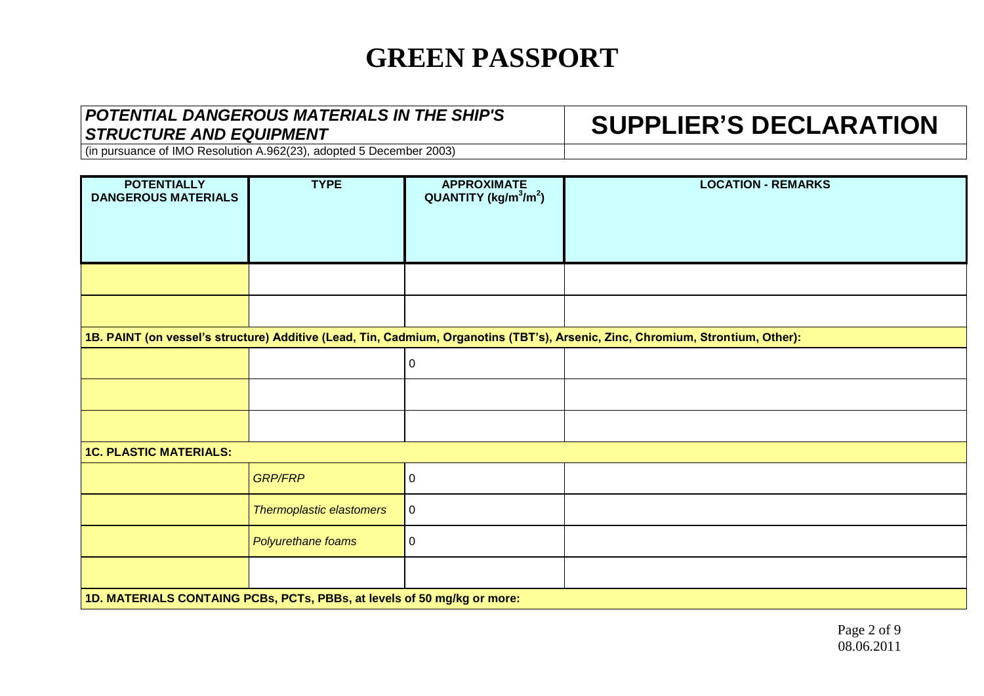### *POTENTIAL DANGEROUS MATERIALS IN THE SHIP'S STRUCTURE AND EQUIPMENT* **SUPPLIER'S DECLARATION**

| <b>POTENTIALLY</b><br><b>DANGEROUS MATERIALS</b>                        | <b>TYPE</b>              | <b>APPROXIMATE</b><br>$QUANTITY (kg/m3/m2)$ | <b>LOCATION - REMARKS</b>                                                                                                       |  |
|-------------------------------------------------------------------------|--------------------------|---------------------------------------------|---------------------------------------------------------------------------------------------------------------------------------|--|
|                                                                         |                          |                                             |                                                                                                                                 |  |
|                                                                         |                          |                                             |                                                                                                                                 |  |
|                                                                         |                          |                                             |                                                                                                                                 |  |
|                                                                         |                          |                                             | 1B. PAINT (on vessel's structure) Additive (Lead, Tin, Cadmium, Organotins (TBT's), Arsenic, Zinc, Chromium, Strontium, Other): |  |
|                                                                         |                          | $\mathbf 0$                                 |                                                                                                                                 |  |
|                                                                         |                          |                                             |                                                                                                                                 |  |
|                                                                         |                          |                                             |                                                                                                                                 |  |
| <b>1C. PLASTIC MATERIALS:</b>                                           |                          |                                             |                                                                                                                                 |  |
|                                                                         | <b>GRP/FRP</b>           | $\boldsymbol{0}$                            |                                                                                                                                 |  |
|                                                                         | Thermoplastic elastomers | $\boldsymbol{0}$                            |                                                                                                                                 |  |
|                                                                         | Polyurethane foams       | 0                                           |                                                                                                                                 |  |
|                                                                         |                          |                                             |                                                                                                                                 |  |
| 1D. MATERIALS CONTAING PCBs, PCTs, PBBs, at levels of 50 mg/kg or more: |                          |                                             |                                                                                                                                 |  |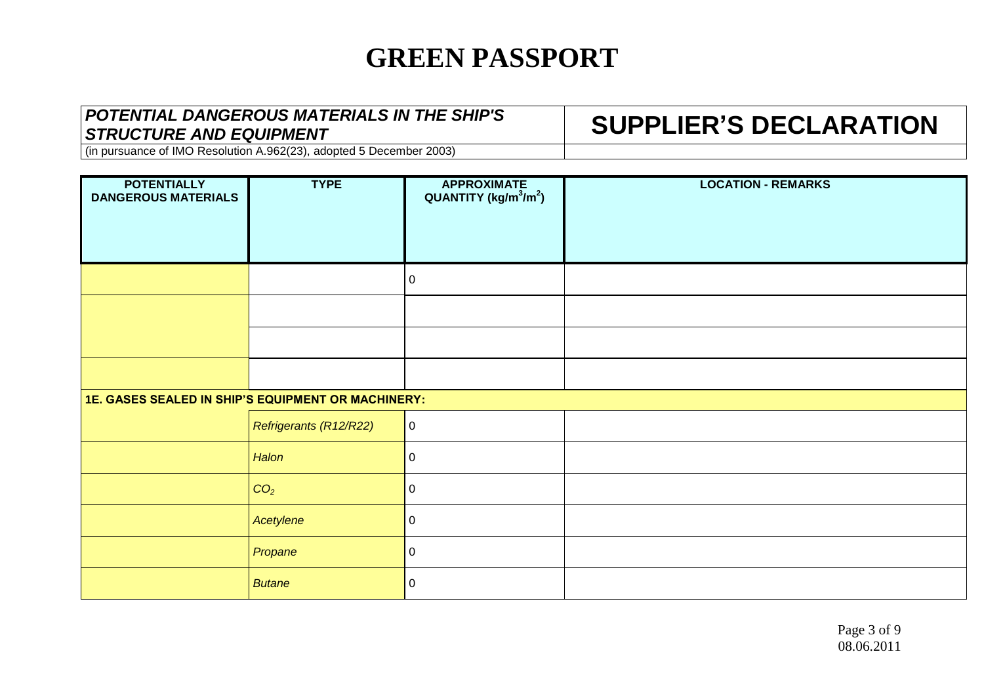### *POTENTIAL DANGEROUS MATERIALS IN THE SHIP'S STRUCTURE AND EQUIPMENT* **SUPPLIER'S DECLARATION**

| <b>POTENTIALLY</b><br><b>DANGEROUS MATERIALS</b>   | <b>TYPE</b>            | <b>APPROXIMATE</b><br>QUANTITY ( $\text{kg/m}^3/\text{m}^2$ ) | <b>LOCATION - REMARKS</b> |
|----------------------------------------------------|------------------------|---------------------------------------------------------------|---------------------------|
|                                                    |                        | $\boldsymbol{0}$                                              |                           |
|                                                    |                        |                                                               |                           |
|                                                    |                        |                                                               |                           |
|                                                    |                        |                                                               |                           |
| 1E. GASES SEALED IN SHIP'S EQUIPMENT OR MACHINERY: |                        |                                                               |                           |
|                                                    | Refrigerants (R12/R22) | $\mathbf 0$                                                   |                           |
|                                                    | Halon                  | $\mathbf 0$                                                   |                           |
|                                                    | CO <sub>2</sub>        | $\pmb{0}$                                                     |                           |
|                                                    | Acetylene              | $\pmb{0}$                                                     |                           |
|                                                    | Propane                | $\boldsymbol{0}$                                              |                           |
|                                                    | <b>Butane</b>          | $\pmb{0}$                                                     |                           |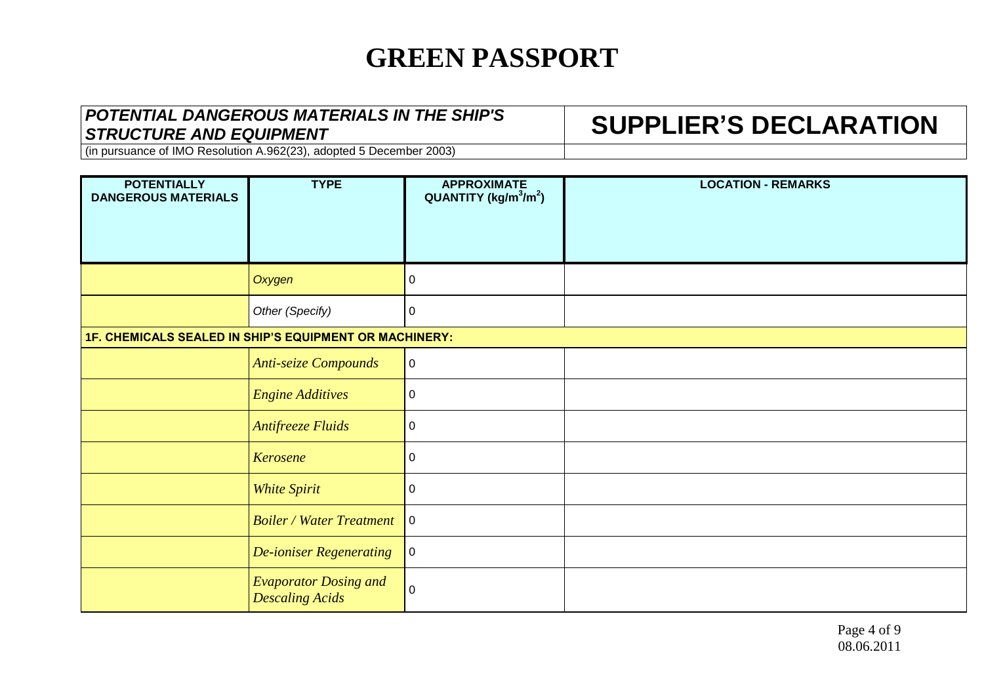### *POTENTIAL DANGEROUS MATERIALS IN THE SHIP'S STRUCTURE AND EQUIPMENT* **SUPPLIER'S DECLARATION**

| <b>POTENTIALLY</b><br><b>DANGEROUS MATERIALS</b>       | <b>TYPE</b>                                            | <b>APPROXIMATE</b><br>$QUANTITY (kg/m3/m2)$ | <b>LOCATION - REMARKS</b> |
|--------------------------------------------------------|--------------------------------------------------------|---------------------------------------------|---------------------------|
|                                                        | Oxygen                                                 | $\mathbf 0$                                 |                           |
|                                                        | Other (Specify)                                        | $\mathbf 0$                                 |                           |
| 1F. CHEMICALS SEALED IN SHIP'S EQUIPMENT OR MACHINERY: |                                                        |                                             |                           |
|                                                        | <b>Anti-seize Compounds</b>                            | $\mathbf 0$                                 |                           |
|                                                        | <b>Engine Additives</b>                                | $\pmb{0}$                                   |                           |
|                                                        | <b>Antifreeze Fluids</b>                               | $\pmb{0}$                                   |                           |
|                                                        | <b>Kerosene</b>                                        | $\boldsymbol{0}$                            |                           |
|                                                        | <b>White Spirit</b>                                    | 0                                           |                           |
|                                                        | <b>Boiler / Water Treatment</b>                        | $\mathbf 0$                                 |                           |
|                                                        | <b>De-ioniser Regenerating</b>                         | $\pmb{0}$                                   |                           |
|                                                        | <b>Evaporator Dosing and</b><br><b>Descaling Acids</b> | $\pmb{0}$                                   |                           |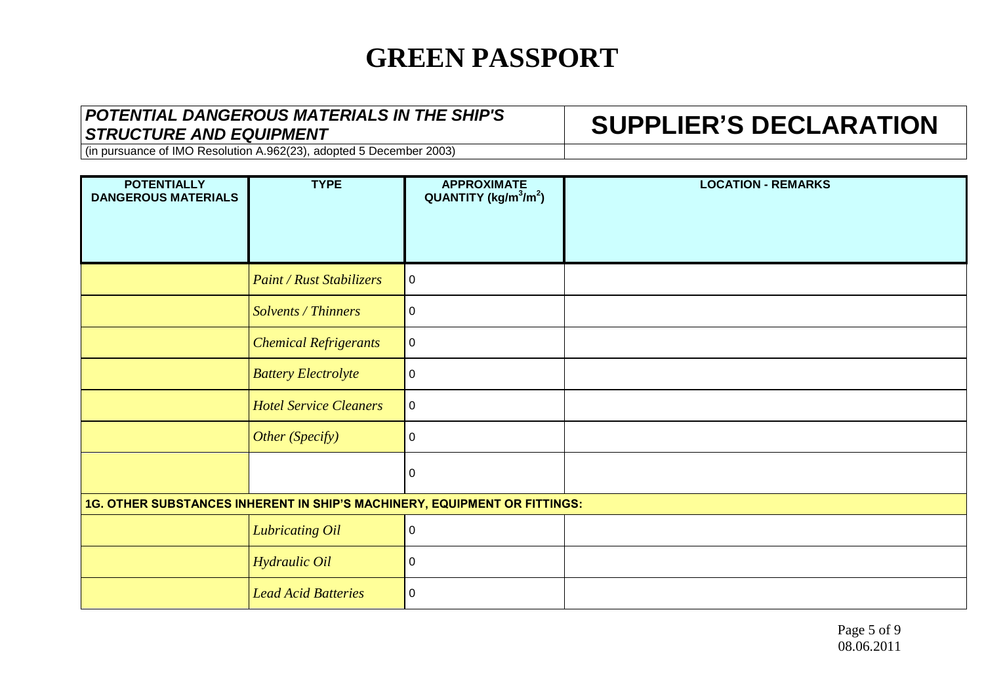### *POTENTIAL DANGEROUS MATERIALS IN THE SHIP'S STRUCTURE AND EQUIPMENT* **SUPPLIER'S DECLARATION**

| <b>POTENTIALLY</b><br><b>DANGEROUS MATERIALS</b>                          | <b>TYPE</b>                     | <b>APPROXIMATE</b><br>$QUANTITY (kg/m3/m2)$ | <b>LOCATION - REMARKS</b> |
|---------------------------------------------------------------------------|---------------------------------|---------------------------------------------|---------------------------|
|                                                                           | <b>Paint / Rust Stabilizers</b> | $\mathbf 0$                                 |                           |
|                                                                           | Solvents / Thinners             | 0                                           |                           |
|                                                                           | <b>Chemical Refrigerants</b>    | $\pmb{0}$                                   |                           |
|                                                                           | <b>Battery Electrolyte</b>      | $\pmb{0}$                                   |                           |
|                                                                           | <b>Hotel Service Cleaners</b>   | $\mathbf 0$                                 |                           |
|                                                                           | Other (Specify)                 | $\mathbf 0$                                 |                           |
|                                                                           |                                 | $\pmb{0}$                                   |                           |
| 1G. OTHER SUBSTANCES INHERENT IN SHIP'S MACHINERY, EQUIPMENT OR FITTINGS: |                                 |                                             |                           |
|                                                                           | <b>Lubricating Oil</b>          | $\pmb{0}$                                   |                           |
|                                                                           | Hydraulic Oil                   | $\pmb{0}$                                   |                           |
|                                                                           | <b>Lead Acid Batteries</b>      | $\boldsymbol{0}$                            |                           |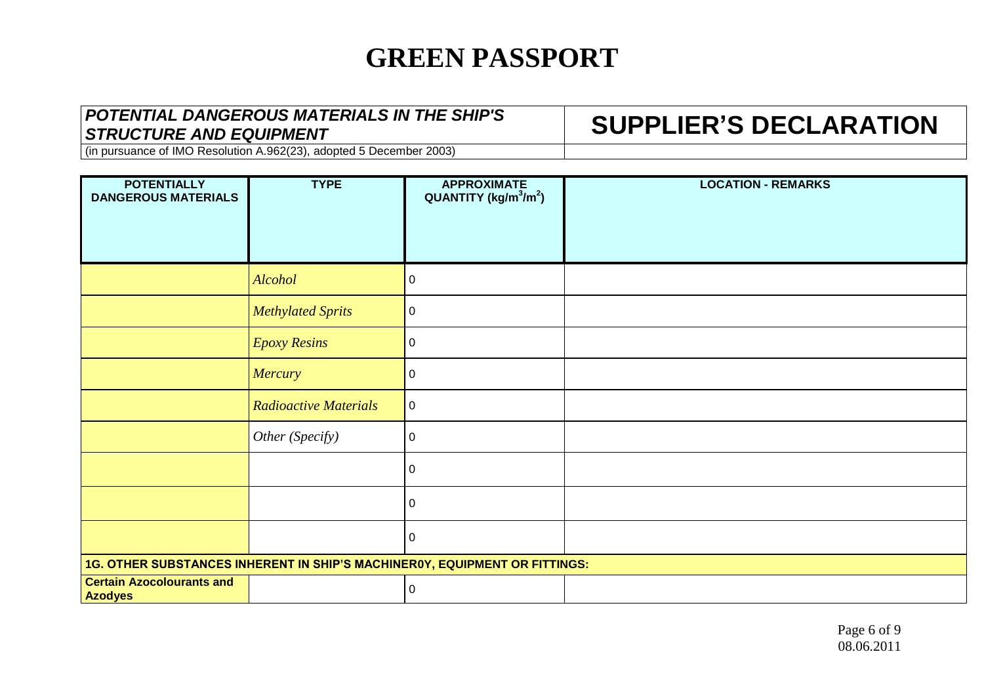### *POTENTIAL DANGEROUS MATERIALS IN THE SHIP'S STRUCTURE AND EQUIPMENT* **SUPPLIER'S DECLARATION**

| <b>POTENTIALLY</b><br><b>DANGEROUS MATERIALS</b>                           | <b>TYPE</b>                  | <b>APPROXIMATE</b><br>QUANTITY (kg/m <sup>3</sup> /m <sup>2</sup> ) | <b>LOCATION - REMARKS</b> |
|----------------------------------------------------------------------------|------------------------------|---------------------------------------------------------------------|---------------------------|
|                                                                            | Alcohol                      | 0                                                                   |                           |
|                                                                            | <b>Methylated Sprits</b>     | 0                                                                   |                           |
|                                                                            | <b>Epoxy Resins</b>          | 0                                                                   |                           |
|                                                                            | Mercury                      | 0                                                                   |                           |
|                                                                            | <b>Radioactive Materials</b> | $\mathbf 0$                                                         |                           |
|                                                                            | Other (Specify)              | 0                                                                   |                           |
|                                                                            |                              | 0                                                                   |                           |
|                                                                            |                              | 0                                                                   |                           |
|                                                                            |                              | 0                                                                   |                           |
| 1G. OTHER SUBSTANCES INHERENT IN SHIP'S MACHINER0Y, EQUIPMENT OR FITTINGS: |                              |                                                                     |                           |
| <b>Certain Azocolourants and</b><br><b>Azodyes</b>                         |                              | 0                                                                   |                           |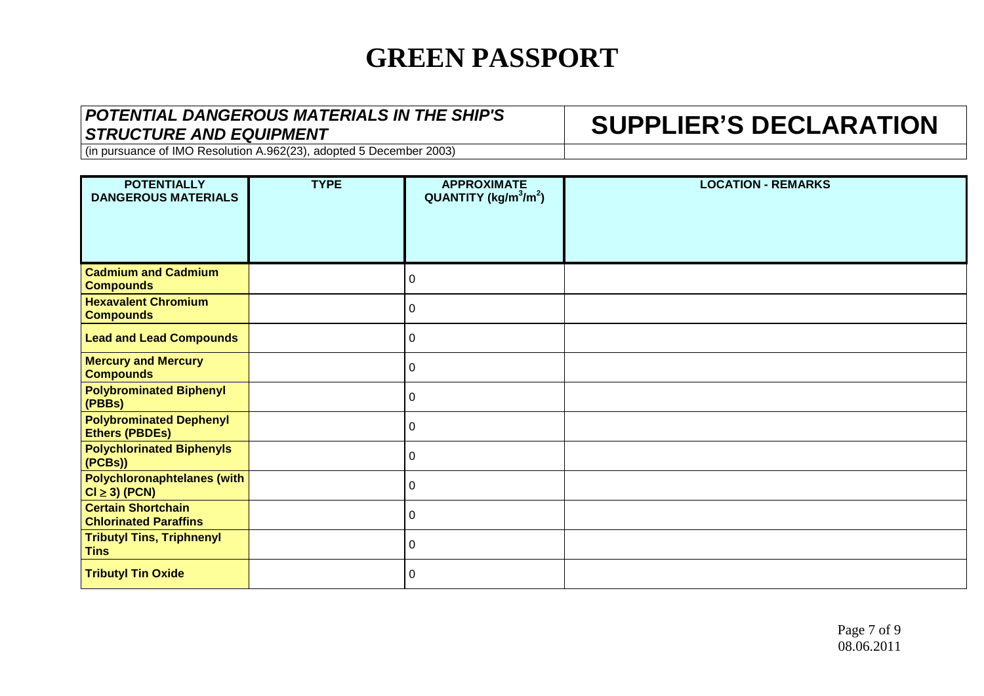### *POTENTIAL DANGEROUS MATERIALS IN THE SHIP'S STRUCTURE AND EQUIPMENT* **SUPPLIER'S DECLARATION**

| <b>POTENTIALLY</b><br><b>DANGEROUS MATERIALS</b>          | <b>TYPE</b> | <b>APPROXIMATE</b><br>$QUANTITY (kg/m3/m2)$ | <b>LOCATION - REMARKS</b> |
|-----------------------------------------------------------|-------------|---------------------------------------------|---------------------------|
| <b>Cadmium and Cadmium</b><br><b>Compounds</b>            |             | 0                                           |                           |
| <b>Hexavalent Chromium</b><br><b>Compounds</b>            |             | 0                                           |                           |
| <b>Lead and Lead Compounds</b>                            |             | 0                                           |                           |
| <b>Mercury and Mercury</b><br><b>Compounds</b>            |             | $\pmb{0}$                                   |                           |
| <b>Polybrominated Biphenyl</b><br>(PBBs)                  |             | 0                                           |                           |
| <b>Polybrominated Dephenyl</b><br><b>Ethers (PBDEs)</b>   |             | $\pmb{0}$                                   |                           |
| <b>Polychlorinated Biphenyls</b><br>(PCBs)                |             | 0                                           |                           |
| <b>Polychloronaphtelanes (with</b><br>$Cl \geq 3$ (PCN)   |             | 0                                           |                           |
| <b>Certain Shortchain</b><br><b>Chlorinated Paraffins</b> |             | 0                                           |                           |
| <b>Tributyl Tins, Triphnenyl</b><br><b>Tins</b>           |             | $\pmb{0}$                                   |                           |
| <b>Tributyl Tin Oxide</b>                                 |             | $\Omega$                                    |                           |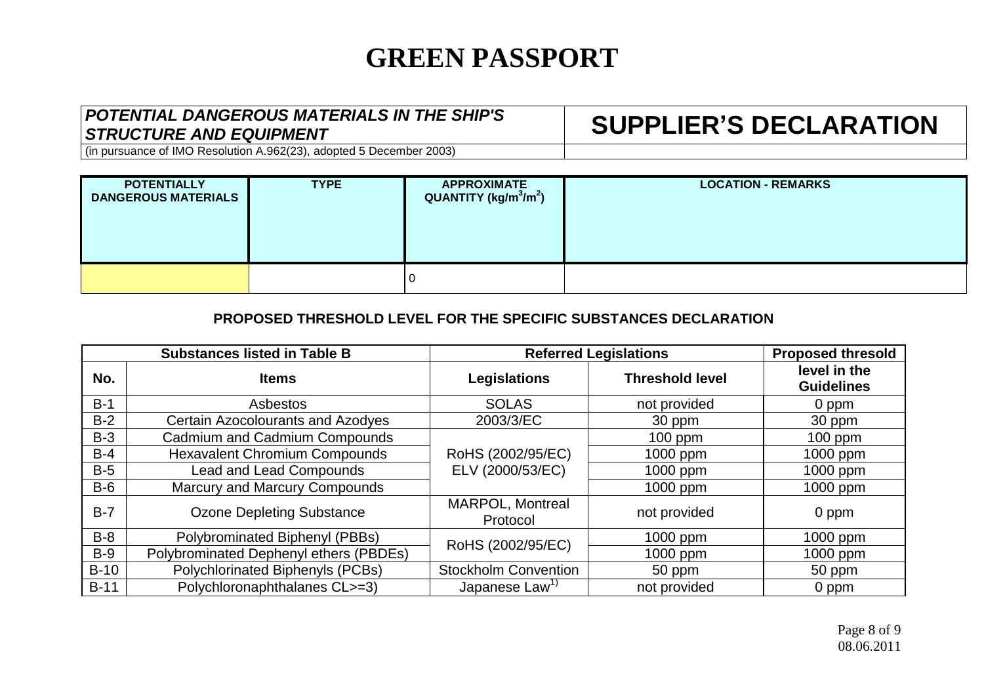#### *POTENTIAL DANGEROUS MATERIALS IN THE SHIP'S STRUCTURE AND EQUIPMENT* **SUPPLIER'S DECLARATION**

(in pursuance of IMO Resolution A.962(23), adopted 5 December 2003)

| <b>POTENTIALLY</b><br><b>DANGEROUS MATERIALS</b> | <b>TYPE</b> | <b>APPROXIMATE</b><br>QUANTITY (kg/m <sup>3</sup> /m <sup>2</sup> ) | <b>LOCATION - REMARKS</b> |
|--------------------------------------------------|-------------|---------------------------------------------------------------------|---------------------------|
|                                                  |             |                                                                     |                           |

#### **PROPOSED THRESHOLD LEVEL FOR THE SPECIFIC SUBSTANCES DECLARATION**

| <b>Substances listed in Table B</b> |                                        |                                     | <b>Referred Legislations</b><br><b>Proposed thresold</b> |                                   |  |
|-------------------------------------|----------------------------------------|-------------------------------------|----------------------------------------------------------|-----------------------------------|--|
| No.                                 | <b>Items</b>                           | <b>Legislations</b>                 | <b>Threshold level</b>                                   | level in the<br><b>Guidelines</b> |  |
| $B-1$                               | Asbestos                               | <b>SOLAS</b>                        | not provided                                             | 0 ppm                             |  |
| $B-2$                               | Certain Azocolourants and Azodyes      | 2003/3/EC                           | 30 ppm                                                   | 30 ppm                            |  |
| $B-3$                               | Cadmium and Cadmium Compounds          |                                     | $100$ ppm                                                | $100$ ppm                         |  |
| $B-4$                               | <b>Hexavalent Chromium Compounds</b>   | RoHS (2002/95/EC)                   | 1000 ppm                                                 | 1000 ppm                          |  |
| $B-5$                               | <b>Lead and Lead Compounds</b>         | ELV (2000/53/EC)                    | 1000 ppm                                                 | 1000 ppm                          |  |
| $B-6$                               | Marcury and Marcury Compounds          |                                     | 1000 ppm                                                 | 1000 ppm                          |  |
| $B-7$                               | <b>Ozone Depleting Substance</b>       | <b>MARPOL, Montreal</b><br>Protocol | not provided                                             | 0 ppm                             |  |
| $B-8$                               | Polybrominated Biphenyl (PBBs)         | RoHS (2002/95/EC)                   | 1000 ppm                                                 | 1000 ppm                          |  |
| $B-9$                               | Polybrominated Dephenyl ethers (PBDEs) |                                     | 1000 ppm                                                 | 1000 ppm                          |  |
| $B-10$                              | Polychlorinated Biphenyls (PCBs)       | <b>Stockholm Convention</b>         | 50 ppm                                                   | 50 ppm                            |  |
| $B-11$                              | Polychloronaphthalanes CL>=3)          | Japanese Law <sup>1)</sup>          | not provided                                             | 0 ppm                             |  |